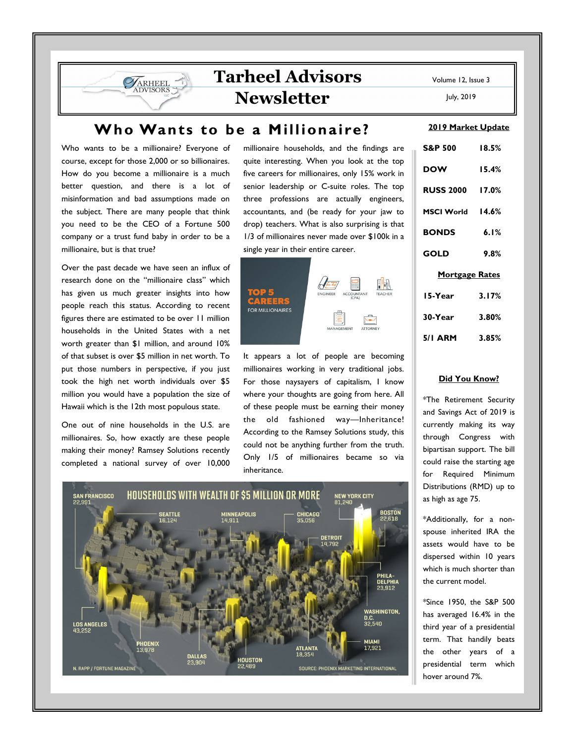# **Tarheel Advisors Newsletter**

July, 2019

## **Who Wants to be a Millionaire?**

Who wants to be a millionaire? Everyone of course, except for those 2,000 or so billionaires. How do you become a millionaire is a much better question, and there is a lot of misinformation and bad assumptions made on the subject. There are many people that think you need to be the CEO of a Fortune 500 company or a trust fund baby in order to be a millionaire, but is that true?

**VARHEEL** 

Over the past decade we have seen an influx of research done on the "millionaire class" which has given us much greater insights into how people reach this status. According to recent figures there are estimated to be over 11 million households in the United States with a net worth greater than \$1 million, and around 10% of that subset is over \$5 million in net worth. To put those numbers in perspective, if you just took the high net worth individuals over \$5 million you would have a population the size of Hawaii which is the 12th most populous state.

One out of nine households in the U.S. are millionaires. So, how exactly are these people making their money? Ramsey Solutions recently completed a national survey of over 10,000 millionaire households, and the findings are quite interesting. When you look at the top five careers for millionaires, only 15% work in senior leadership or C-suite roles. The top three professions are actually engineers, accountants, and (be ready for your jaw to drop) teachers. What is also surprising is that 1/3 of millionaires never made over \$100k in a single year in their entire career.



It appears a lot of people are becoming millionaires working in very traditional jobs. For those naysayers of capitalism, I know where your thoughts are going from here. All of these people must be earning their money the old fashioned way—Inheritance! According to the Ramsey Solutions study, this could not be anything further from the truth. Only 1/5 of millionaires became so via inheritance.



#### **2019 Market Update**

| <b>S&amp;P 500</b>    | 18.5% |  |  |
|-----------------------|-------|--|--|
| <b>DOW</b>            | 15.4% |  |  |
| RUSS 2000 17.0%       |       |  |  |
| MSCI World 14.6%      |       |  |  |
| <b>BONDS</b>          | 6.1%  |  |  |
| <b>GOLD</b>           | 9.8%  |  |  |
| <b>Mortgage Rates</b> |       |  |  |
| 15-Year               | 3.17% |  |  |
| 30-Year               | 3.80% |  |  |
| 5/1 ARM 3.85%         |       |  |  |

#### **Did You Know?**

\*The Retirement Security and Savings Act of 2019 is currently making its way through Congress with bipartisan support. The bill could raise the starting age for Required Minimum Distributions (RMD) up to as high as age 75.

\*Additionally, for a nonspouse inherited IRA the assets would have to be dispersed within 10 years which is much shorter than the current model.

\*Since 1950, the S&P 500 has averaged 16.4% in the third year of a presidential term. That handily beats the other years of a presidential term which hover around 7%.